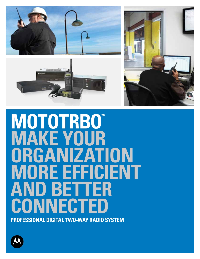





# **MOTOTRBO™ MAKE YOUR organization MORE EFFICIENT AND BETTER CONNECTED**

**PROFESSIONAL DIGITAL TWO-WAY RADIO SYSTEM**

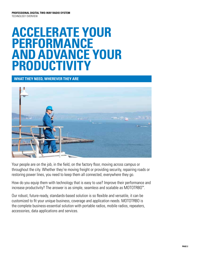# **ACCELERATE YOUR PERFORMANCE AND ADVANCE YOUR PRODUCTIVITY**

# **WHAT THEY NEED, WHEREVER THEY ARE**



Your people are on the job, in the field, on the factory floor, moving across campus or throughout the city. Whether they're moving freight or providing security, repairing roads or restoring power lines, you need to keep them all connected, everywhere they go.

How do you equip them with technology that is easy to use? Improve their performance and increase productivity? The answer is as simple, seamless and scalable as MOTOTRBO™.

Our robust, future-ready, standards-based solution is so flexible and versatile, it can be customized to fit your unique business, coverage and application needs. MOTOTRBO is the complete business-essential solution with portable radios, mobile radios, repeaters, accessories, data applications and services.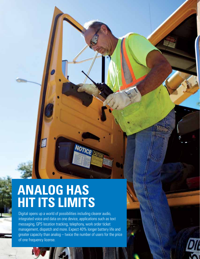# **ANALOG HAS HIT ITS LIMITS**

E

Digital opens up a world of possibilities including clearer audio, integrated voice and data on one device, applications such as text messaging, GPS location tracking, telephony, work order ticket management, dispatch and more. Expect 40% longer battery life and greater capacity than analog – twice the number of users for the price of one frequency license.

**NOTICE**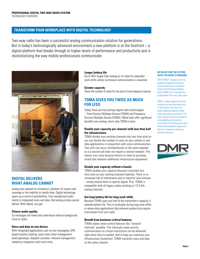# **TRANSFORM YOUR WORKPLACE WITH DIGITAL TECHNOLOGY**

Two-way radio has been a successful analog communication solution for generations. But in today's technologically advanced environment a new platform is at the forefront  $-$  a digital platform that breaks through to higher levels of performance and productivity and is revolutionizing the way mobile professionals communicate.



# **DIGITAL DELIVERS WHAT ANALOG CANNOT**

Analog has reached its limitations, whether it's issues with coverage or the inability to handle data. Digital technology opens up a world of possibilities, from exceptional audio clarity to integrated voice and data, that analog simply cannot deliver. With digital, you get:

#### **Clearer audio quality**

So messages are heard and understood without background noise or static.

#### **Voice and data on one device**

With integrated applications such as text messaging, GPSbased location tracking, work order ticket management , email gateways, dispatch consoles, network management, telephony integration and much more.

#### **Longer battery life**

Up to 40% longer than analog so it's ideal for extended work shifts where continuous communication is essential.

#### **Greater capacity**

Twice the number of users for the price of one frequency license.

# **TDMA GIVES YOU TWICE AS MUCH FOR LESS**

Today, there are two primary digital radio technologies – Time-Division Multiple-Access (TDMA) and Frequency-Division Multiple-Access (FDMA). While both offer significant benefits over analog, here's why TDMA is best:

#### **Double your capacity per channel with less than half the infrastructure**

TDMA divides your existing channels into two time slots so you can double the number of users on your system or use data applications in conjunction with voice communication. Two calls can occur simultaneously on the same repeater so a a second call does not require a second repeater. This lowers your costs because there's no need to purchase, install and maintain additional infrastructure equipment.

#### **Double your capacity without a hassle**

TDMA doubles your capacity because it provides two time slots on your existing licensed channels. There is no increased risk of interference and no need for new licenses – simply amend them to specify digital. Plus, TDMA is compatible with all legacy radios working on 12.5 kHz analog channels.

#### **Get long battery life for long work shifts**

Because TDMA uses only half of the transmitter's capacity, it extends battery life. This is invaluable during long work shifts or where data applications that enhance productivity require more power from your radio.

#### **Benefit from business-critical features**

TDMA makes smart control features like "transmit interrupt" possible. This interrupts lower priority communication so critical instructions can be delivered right when they're needed. And to help you maximize your infrastructure investment, TDMA transmits voice and data on the same channel.

#### **BE READY FOR THE FUTURE WITH THE RIGHT STANDARD**

MOTOTRBO™ complies with the globally-recognized European Telecommunications Standard Institute (ETSI) Digital Mobile Radio (DMR) Tier 2 standard for professional two-way radio users.

DMR is widely supported by the leading two-way manufacturers in the industry and the most widely deployed digital mobile radio technology worldwide. This open standard assures long-term sustainability and creates a community of manufacturers who build interchangeable equipment that can compete on features, benefits and price.

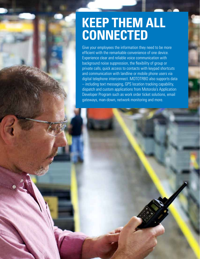# **KEEP THEM ALL CONNECTED**

Give your employees the information they need to be more efficient with the remarkable convenience of one device. Experience clear and reliable voice communication with background noise suppression, the flexibility of group or private calls, quick access to contacts with keypad shortcuts and communication with landline or mobile phone users via digital telephone interconnect. MOTOTRBO also supports data – including text messaging, GPS location tracking capability, dispatch and custom applications from Motorola's Application Developer Program such as work order ticket solutions, email gateways, man-down, network monitoring and more.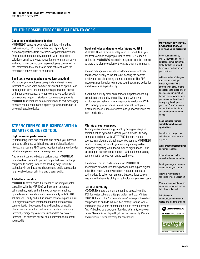### **PUT THE POSSIBILITIES OF DIGITAL DATA TO WORK**

#### **Get voice and data in one device**

MOTOTRBO™ supports both voice and data – including text messaging, GPS location tracking capability, and custom applications from Motorola's Application Developer Program such as telephony, dispatch, work order ticket solutions, email gateways, network monitoring, man-down and much more. So you can keep employees connected to the information they need to be more efficient, with the remarkable convenience of one device.

#### **Send text messages when voice isn't practical**

Make sure your employees can quickly and easily share information when voice communication isn't an option. Text messaging is ideal for sending messages that don't need an immediate response, or when voice conversation could be disrupting to guests, students, customers, or patients. MOTOTRBO streamlines communication with text messaging between radios, radios and dispatch systems and radios to any email-capable device.

### **STRENGTHEN YOUR BUSINESS WITH A SMARTER BUSINESS TOOL**

#### **High-powered performance**

By integrating voice and data into one device, you increase operating efficiency with business-essential applications like text messaging, GPS-based location tracking, work order ticket management, email gateways and more.

And when it comes to battery performance, MOTOTRBO digital radios operate 40 percent longer between recharges compared to analog. In fact, the leading-edge IMPRES™ technology in our batteries, chargers and audio accessories helps enable longer talk time and clearer audio.

#### **Added functionality**

MOTOTRBO offers added functionality, including dispatch capability with the MIP 5000 VoIP console, enhanced call signaling, basic and enhanced privacy-scrambling, option board expandability and compatibility with SCADA solutions for utility and public service monitoring and alarms. Plus digital telephone interconnect capability to enable communication between radios and landline or mobile phones as well as a transmit interrupt suite – with voice interrupt, emergency voice interrupt or data over voice interrupt – to prioritize critical communication the moment you need it.

#### **Track vehicles and people with integrated GPS**

MOTOTRBO radios have an integrated GPS module so you can track vehicles and people. Unlike other GPS-capable radios, the MOTOTRBO module is integrated into the handset so there's no clumsy equipment to attach, carry or maintain.

You can manage your mobile workforce more effectively and respond quickly to incidents by locating the nearest employees and dispatching them to the scene. The GPS module makes it easier to manage your fleet, make deliveries and drive routes expeditiously.

If you have a utility crew on repair or a dispatcher sending taxicabs across the city, the ability to see where your employees and vehicles are at a glance is invaluable. With GPS tracking, your response time is more efficient, your customer service is more effective, and your operation is far more productive.

#### **Migrate at your own pace**

Keeping operations running smoothly during a change in communication systems is vital to your business. It's easy to migrate to digital with MOTOTRBO because radios operate in analog and digital mode. You can use MOTOTRBO radios in analog mode with your existing analog system and begin migrating work teams over to digital mode – one talk group or department at a time – while still maintaining communication across your entire workforce.

The dynamic mixed mode repeater on MOTOTRBO streamlines automatic switching between analog and digital calls. This means you only need one repeater to operate both modes. So when your time and budget allows you can migrate to the benefits of digital technology at your own pace.

#### **Reliable durability**

MOTOTRBO meets the most demanding specs, including IP57 for water submersibility (portables) and U.S. Military 810 C, D, E and F. It's "intrinsically safe" when purchased and equipped with an FM/CSA certified battery, for use where flammable gas, vapors or combustible dust may be present. And it's backed by a two-year Standard Warranty, one-year Repair Service Advantage (US)/Extended Warranty (Canada) and minimum 1-year warranty for accessories.

#### **MOTOROLA'S APPLICATION DEVELOPER PROGRAM: BUILT FOR YOUR BUSINESS**

Powerful and flexible, MOTOTRBO is a businesscritical communication tool that adapts to your work force, your customers and your business.

With the industry's largest Application Developer Program, MOTOTRBO offers a wide array of data applications to expand your business communication beyond voice. What's more, you can work directly with third-party developers or your own IT staff to create customized applications designed for your unique needs.

#### **Keep business running smoothly with business applications:**

Location tracking to see vehicles and personnel at a glance

Work order tickets for faster customer response

Dispatch consoles for centralized communication

Email gateways to connect to email from your radio

Network monitoring to maximize system utilization

Man-down applications, so when workers can't call for help their radios will

Telephony for communication between radios and landline phones

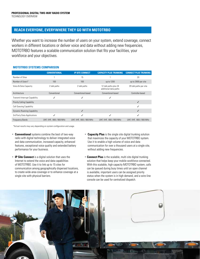# **Reach everyone, everywhere they go with MOTOTRBO**

Whether you want to increase the number of users on your system, extend coverage, connect workers in different locations or deliver voice and data without adding new frequencies, MOTOTRBO features a scalable communication solution that fits your facilities, your workforce and your objectives.

#### **MOTOTRBO SYSTEMS COMPARISON**

|                                      | <b>CONVENTIONAL</b>     | <b>IP SITE CONNECT</b>  | <b>CAPACITY PLUS TRUNKING</b>                  | <b>CONNECT PLUS TRUNKING</b> |
|--------------------------------------|-------------------------|-------------------------|------------------------------------------------|------------------------------|
| Number of Sites                      |                         | 15                      |                                                | 20                           |
| Number of Users*                     | 100                     | 100                     | up to 1200                                     | up to 2900 per site          |
| Voice & Data Capacity                | 2 talk paths            | 2 talk paths            | 12 talk paths plus 24<br>additional data paths | 29 talk paths per site       |
| Architecture                         | Conventional            | Conventional-based      | Conventional-based                             | Controller-based             |
| <b>Transmit Interrupt Capability</b> | ✓                       |                         |                                                |                              |
| <b>Priority Calling Capability</b>   |                         |                         |                                                | ✓                            |
| <b>Call Queuing Capability</b>       |                         |                         |                                                | J                            |
| <b>Dynamic Roaming Capability</b>    |                         | ✓                       |                                                | ✓                            |
| 3rd Party Data Applications          | $\checkmark$            | ✓                       | $\checkmark$                                   | ✓                            |
| <b>Frequency Bands</b>               | UHF, VHF, 800 / 900 MHz | UHF, VHF, 800 / 900 MHz | UHF, VHF, 800 / 900 MHz                        | UHF, VHF, 800 / 900 MHz      |

\*Actual results may vary depending on system configuration and usage.

- **Conventional** systems combine the best of two-way radio with digital technology to deliver integrated voice and data communication, increased capacity, enhanced features, exceptional voice quality and extended battery performance for your business.
- **IP Site Connect** is a digital solution that uses the Internet to extend the voice and data capabilities of MOTOTRBO. Use it to link up to 15 sites for communication among geographically dispersed locations, to create wide-area coverage or to enhance coverage at a single site with physical barriers.
- **Capacity Plus** is the single site digital trunking solution that maximizes the capacity of your MOTOTRBO system. Use it to enable a high volume of voice and data communication for over a thousand users at a single site, without adding new frequencies.
- **Connect Plus** is the scalable, multi site digital trunking solution that helps keep your mobile workforce connected. With this scalable, high capacity MOTOTRBO system, calls can be queued during busy times until an open channel is available, important users can be assigned priority status when the system is in high demand, and a wire-line console can be used for centralized dispatch.

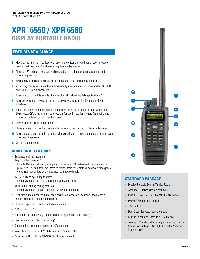# **XPR™ 6550 / XPR 6580 DISPLAY PORTABLE RADIO**

# **Features at-a-glance**

- **1** Flexible, menu-driven interface with user-friendly icons or two lines of text for ease of reading text messages\* and navigating through the menus.
- **2** Tri-color LED indicator for clear, visible feedback of calling, scanning, roaming and monitoring features.
- **3** Emergency button alerts supervisor or dispatcher in an emergency situation.
- **4** Accessory connector meets IP57 submersibility specifications and incorporates RF, USB and IMPRES™ audio capability.
- **5** Integrated GPS module enables the use of location-tracking data applications.\*
- **6** Large, easy-to-use navigation buttons allow easy access to intuitive menu-driven interfaces.
- **7** Radio housing meets IP57 specifications; submersible in 1 meter of fresh water up to 30 minutes. Offers intrinsically safe options for use in locations where flammable gas, vapors or combustible dust may be present.
- **8** Powerful, front projecting speaker.
- **9** Three side and two front programmable buttons for easy access to favorite features.
- **10** Large, textured push-to-talk button provides good tactile response and easy access, even when wearing gloves.
- **11** Up to 1,000 channels.

# **Additional Features**

• Enhanced call management

Digital calling features\*

 Encode/Decode: call alert, emergency, push-to-talk ID, radio check, remote monitor, private call, all call, transmit interrupt (voice interrupt, remote voice dekey, emergency voice interrupt or data over voice interrupt), radio disable

MDC 1200 analog calling features Encode/Decode: push-to-talk ID, emergency, call alert

Quik-Call II™ analog calling features Encode/Decode: call alert, call alert with voice, select call

- Dual-mode analog and/or digital scan and mixed mode priority scan\*– facilitates a smooth migration from analog to digital
- Optional Expansion Card for added capabilities
- 6.25e Compliant\*
- Basic or Enhanced privacy built-in scrambling for increased security\*
- Free-form and quick text messaging\*
- Contacts list accommodates up to 1,000 contacts
- Voice Activated Transmit (VOX) hands-free communication
- Operates in UHF, VHF or 800/900 MHz frequency bands



- Display Portable Digital/Analog Radio
- Antenna Standard whip with GPS
- IMPRES Li-Ion Submersible 2150 mAh Battery
- IMPRES Single Unit Charger
- 2.5" Belt Clip
- Dust Cover for Accessory Connector
- Built-In Expansion Card\* (XPR 6580 only)
- Two-year Standard Warranty plus one-year Repair Service Advantage (US only) / Extended Warranty (Canada only)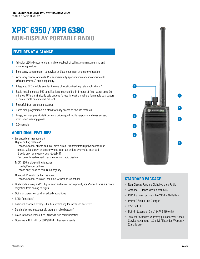# **XPR™ 6350 / XPR 6380 NON-DISPLAY PORTABLE RADIO**

# **Features at-a-glance**

- **1** Tri-color LED indicator for clear, visible feedback of calling, scanning, roaming and monitoring features.
- **2** Emergency button to alert supervisor or dispatcher in an emergency situation.
- **3** Accessory connector meets IP57 submersibility specifications and incorporates RF, USB and IMPRES™ audio capability.
- **4** Integrated GPS module enables the use of location-tracking data applications.\*
- **5** Radio housing meets IP57 specifications; submersible in 1 meter of fresh water up to 30 minutes. Offers intrinsically safe options for use in locations where flammable gas, vapors or combustible dust may be present.
- **6** Powerful, front projecting speaker.
- **7** Three side programmable buttons for easy access to favorite features.
- **8** Large, textured push-to-talk button provides good tactile response and easy access, even when wearing gloves.
- **9** 32 channels

# **Additional Features**

- Enhanced call management Digital calling features\* Encode/Decode: private call, call alert, all call, transmit interrupt (voice interrupt, remote voice dekey, emergency voice interrupt or data over voice interrupt) Encode only: emergency, push-to-talk ID Decode only: radio check, remote monitor, radio disable
	- MDC 1200 analog calling features Encode/Decode: call alert Encode only: push-to-talk ID, emergency
	- Quik-Call II™ analog calling features Encode/Decode: call alert, call alert with voice, select call
- Dual-mode analog and/or digital scan and mixed mode priority scan\*– facilitates a smooth migration from analog to digital
- Optional Expansion Card for added capabilities
- 6.25e Compliant\*
- Basic or Enhanced privacy built-in scrambling for increased security\*
- Send quick text messages via programmable buttons\*
- Voice Activated Transmit (VOX) hands-free communication
- Operates in UHF, VHF or 800/900 MHz frequency bands



- Non-Display Portable Digital/Analog Radio
- Antenna Standard whip with GPS
- IMPRES Li-Ion Submersible 2150 mAh Battery
- IMPRES Single Unit Charger
- 2.5" Belt Clip
- Built-In Expansion Card\* (XPR 6380 only)
- Two-year Standard Warranty plus one-year Repair Service Advantage (US only) / Extended Warranty (Canada only)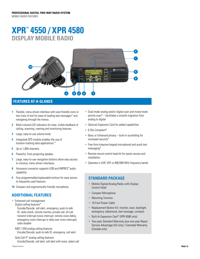# **XPR™ 4550 / XPR 4580 DISPLAY MOBILE RADIO**



# **Features at-a-glance**

- **1** Flexible, menu-driven interface with user-friendly icons or two lines of text for ease of reading text messages\* and navigating through the menus.
- **2** Multi-colored LED indicators for clear, visible feedback of calling, scanning, roaming and monitoring features.
- **3** Large, easy-to-use volume knob.
- **4** Integrated GPS module enables the use of location-tracking data applications.\*
- **5** Up to 1,000 channels.
- **6** Powerful, front-projecting speaker.
- **7** Large, easy-to-use navigation buttons allow easy access to intuitive, menu-driven interfaces.
- **8** Accessory connector supports USB and IMPRES™ audio capability.
- **9** Four programmable/replaceable buttons for easy access to frequently used features.
- **10** Compact and ergonomically friendly microphone.

# **Additional Features**

• Enhanced call management Digital calling features\*

 Encode/Decode: call alert, emergency, push-to-talk ID, radio check, remote monitor, private call, all call, transmit interrupt (voice interrupt, remote voice dekey, emergency voice interrupt or data over voice interrupt), radio disable

MDC 1200 analog calling features Encode/Decode: push-to-talk ID, emergency, call alert

Quik-Call II™ analog calling features Encode/Decode: call alert, call alert with voice, select call

- Dual-mode analog and/or digital scan and mixed mode priority scan\* – facilitates a smooth migration from analog to digital
- Optional Expansion Card for added capabilities
- 6.25e Compliant\*
- Basic or Enhanced privacy built-in scrambling for increased security\*
- Free-form (requires keypad microphone) and quick text messaging\*
- Remote mount control head kit for easier access and installation
- Operates in UHF, VHF or 800/900 MHz frequency bands

- Mobile Digital/Analog Radio with Display Control Head
- Compact Microphone
- **Mounting Trunnion**
- 10-Foot Power Cable
- Replacement Button Kit: monitor, scan, backlight, emergency, talkaround, text message, contacts
- Built-In Expansion Card\* (XPR 4580 only)
- Two-year Standard Warranty plus one-year Repair Service Advantage (US only) / Extended Warranty (Canada only)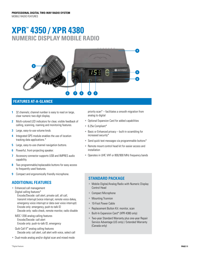# **XPR™ 4350 / XPR 4380 NUMERIC DISPLAY MOBILE RADIO**



# **Features at-a-glance**

- **1** 32 channels; channel number is easy to read on large. clear numeric two-digit display.
- **2** Multi-colored LED indicators for clear, visible feedback of calling, scanning, roaming and monitoring features.
- **3** Large, easy-to-use volume knob.
- **4** Integrated GPS module enables the use of location tracking data applications.\*
- **5** Large, easy-to-use channel navigation buttons.
- **6** Powerful, front-projecting speaker.
- **7** Accessory connector supports USB and IMPRES audio capability.
- **8** Two programmable/replaceable buttons for easy access to frequently used features.
- **9** Compact and ergonomically friendly microphone.

# **Additional Features**

- Enhanced call management Digital calling features\* Encode/Decode: call alert, private call, all call, transmit interrupt (voice interrupt, remote voice dekey, emergency voice interrupt or data over voice interrupt) Encode only: emergency, push-to-talk ID Decode only: radio check, remote monitor, radio disable
	- MDC 1200 analog calling features Encode/Decode: call alert Encode only: push-to-talk ID, emergency
	- Quik-Call II™ analog calling features Decode only: call alert, call alert with voice, select call
- Dual-mode analog and/or digital scan and mixed mode

priority scan\* – facilitates a smooth migration from analog to digital

- Optional Expansion Card for added capabilities
- 6.25e Compliant\*
- Basic or Enhanced privacy built-in scrambling for increased security\*
- Send quick text messages via programmable buttons\*
- Remote mount control head kit for easier access and installation
- Operates in UHF, VHF or 800/900 MHz frequency bands

- Mobile Digital/Analog Radio with Numeric Display Control Head
- Compact Microphone
- Mounting Trunnion
- 10-Foot Power Cable
- Replacement Button Kit: monitor, scan
- Built-In Expansion Card\* (XPR 4380 only)
- Two-year Standard Warranty plus one-year Repair Service Advantage (US only) / Extended Warranty (Canada only)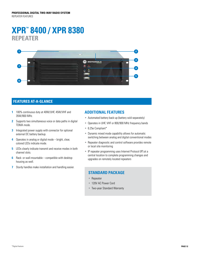# **XPR™ 8400 / XPR 8380 REPEATER**



# **Features at-a-glance**

- **1** 100% continuous duty at 40W/UHF, 45W/VHF and 35W/800 MHz.
- **2** Supports two simultaneous voice or data paths in digital TDMA mode.
- **3** Integrated power supply with connector for optional external DC battery backup.
- **4** Operates in analog or digital mode bright, clear, colored LEDs indicate mode.
- **5** LEDs clearly indicate transmit and receive modes in both channel slots.
- **6** Rack- or wall-mountable compatible with desktop housing as well.
- **7** Sturdy handles make installation and handling easier.

#### **Additional Features**

- Automated battery back-up (battery sold separately)
- Operates in UHF, VHF or 800/900 MHz frequency bands
- 6.25e Compliant\*
- Dynamic mixed mode capability allows for automatic switching between analog and digital conventional modes
- Repeater diagnostic and control software provides remote or local site monitoring
- IP repeater programming uses Internet Protocol (IP) at a central location to complete programming changes and upgrades on remotely located repeaters

- Repeater
- 120V AC Power Cord
- Two-year Standard Warranty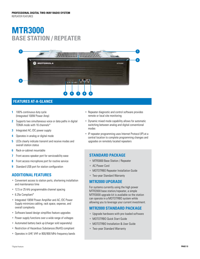# **MTR3000 BASE STATION / REPEATER**



# **Features at-a-glance**

- **1** 100% continuous duty cycle (Integrated 100W Power Amp)
- **2** Supports two simultaneous voice or data paths in digital TDMA mode with 16 channels\*
- **3** Integrated AC /DC power supply
- **4** Operates in analog or digital mode
- **5** LEDs clearly indicate transmit and receive modes and overall station status
- **6** Rack-or-cabinet mountable
- **7** Front access speaker port for serviceability ease
- **8** Front access microphone port for routine service
- **9** Standard USB port for station configuration

# **Additional Features**

- Convenient access to station ports, shortening installation and maintenance time
- 12.5 or 25 kHz programmable channel spacing
- 6.25e Compliant\*
- Integrated 100W Power Amplifier and AC /DC Power Supply minimizes cabling, rack space, expense, and overall complexity
- Software based design simplifies feature upgrades
- Power supply functions over a wide range of voltages
- Automated battery back up (charger sold separately)
- Restriction of Hazardous Substances (RoHS) compliant
- Operates in UHF, VHF or 800/900 MHz frequency bands
- Repeater diagnostic and control software provides remote or local site monitoring
- Dynamic mixed mode capability allows for automatic switching between analog and digital conventional modes
- IP repeater programming uses Internet Protocol (IP) at a central location to complete programming changes and upgrades on remotely located repeaters

# **Standard Package**

- MTR3000 Base Station / Repeater
- AC Power Cord
- MOTOTRBO Repeater Installation Guide
- Two-year Standard Warranty

### **MTR2000 UPGRADE**

For systems currently using the high power MTR2000 base station/repeater, a simple MTR3000 upgrade kit is available so the station can operate in a MOTOTRBO system while allowing you to leverage your current investment.

# **MTR2000 standard package**

- Upgrade hardware with pre-loaded software
- MOTOTRBO Quick Start Guide
- MOTOTRBO Installation & User Guide
- Two-year Standard Warranty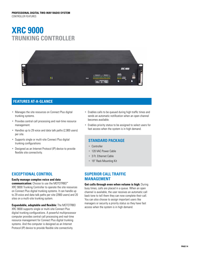# **XRC 9000 TRUNKING CONTROLLER**



# **Features at-a-glance**

- Manages the site resources on Connect Plus digital trunking systems.
- Provides central call processing and real-time resource management.
- Handles up to 29 voice and data talk paths (2,900 users) per site.
- Supports single or multi-site Connect Plus digital trunking configurations
- Designed as an Internet Protocol (IP) device to provide flexible site connectivity.

# **EXCEPTIONAL CONTROL**

#### **Easily manage complex voice and data**

**communication:** Choose to use the MOTOTRBO™ XRC 9000 Trunking Controller to operate the site resources on Connect Plus digital trunking systems. It can handle up to 29 voice and data talk paths per site (2900 users) and 20 sites on a multi-site trunking system.

**Expandable, adaptable and flexible:** The MOTOTRBO XRC 9000 supports single or multi-site Connect Plus digital trunking configurations. A powerful multiprocessor

computer provides central call processing and real-time resource management for Connect Plus digital trunking systems. And the computer is designed as an Internet Protocol (IP) device to provide flexible site connectivity.

- Enables calls to be queued during high traffic times and sends an automatic notification when an open channel becomes available.
- Enables priority status to be assigned to select users for fast access when the system is in high demand.

# **Standard Package**

- Controller
- 120 VAC Power Cable
- 3 Ft. Ethernet Cable
- 19" Rack Mounting Kit

# **SUPERIOR CALL TRAFFIC MANAGEMENT**

**Get calls through even when volume is high:** During busy times, calls are placed in a queue. When an open channel is available, the user receives an automatic call back tone to tell them they can now complete their call. You can also choose to assign important users like managers or security a priority status so they have fast access when the system is in high demand.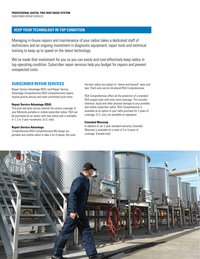### **KEEP YOUR TECHNOLOGY IN TOP CONDITION**

Managing in-house repairs and maintenance of your radios takes a dedicated staff of technicians and an ongoing investment in diagnostic equipment, repair tools and technical training to keep up to speed on the latest technology.

We've made that investment for you so you can easily and cost-effectively keep radios in top operating condition. Subscriber repair services help you budget for repairs and prevent unexpected costs.

### **SUBSCRIBER REPAIR SERVICES**

Repair Service Advantage (RSA ) and Repair Service Advantage Comprehensive (RSA Comprehensive) repairs receive priority service and meet committed cycle times.

#### **Repair Service Advantage (RSA)**

This post-warranty service extends the service coverage of your Motorola portable or mobile subscriber radios. RSA can be purchased as an option with new radios and is available in 1, 2 or 3-year increments. (U.S. only)

#### **Repair Service Advantage**

Comprehensive (RSA Comprehensive) We design our portable and mobile radios to take a lot of abuse. But even the best radios are subject to "above and beyond" wear and tear. That's why we've introduced RSA Comprehensive.

RSA Comprehensive offers all the protection of a standard RSA support plan with even more coverage. This includes chemical, liquid and other physical damage to your portable and mobile subscriber radios. RSA Comprehensive is available as an option to your radio purchase for 3 years of coverage. (U.S. only, not available on repeaters)

#### **Extended Warranty**

In addition to our 2-year standard warranty, Extended Warranty is available for a total of 3 or 5 years of coverage. (Canada only)

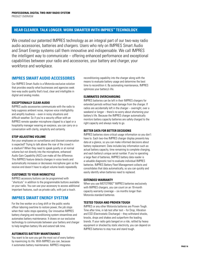# **HEAR CLEARER. TALK LONGER. WORK SMARTER WITH IMPRES™ TECHNOLOGY.**

We created our patented IMPRES technology as an integral part of our two-way radio audio accessories, batteries and chargers. Users who rely on IMPRES Smart Audio and Smart Energy systems call them innovative and indispensable. We call IMPRES the intelligent way to communicate – offering enhanced performance and exceptional capabilities between your radio and accessories, your battery and charger, your workforce and workplace.

#### **IMPRES SMART AUDIO ACCESSORIES**

Our IMPRES Smart Audio is a Motorola-exclusive solution that provides exactly what businesses and agencies seek: two-way audio quality that's loud, clear and intelligible in digital and analog modes.

#### **EXCEPTIONALLY CLEAR AUDIO**

IMPRES audio accessories communicate with the radio to help suppress ambient noise, improve voice intelligibility and amplify loudness – even in noisy situations and difficult weather. So if you're a security officer with an IMPRES remote speaker microphone clipped to a lapel or a hospitality manager wearing an earpiece, you can carry on a conversation with clarity, simplicity and certainty.

#### **STOP ADJUSTING VOLUME**

Are your employees on surveillance and discreet conversation is expected? Trying to talk above the roar of the crowd in a stadium? When they need to speak quietly or at normal volume but not directly into the microphone, enhanced Audio Gain Capability (AGC) can make all the difference. This IMPRES feature detects changes in voice levels and automatically increases or decreases microphone gain so the receive end doesn't have to adjust volume levels repeatedly.

#### **CUSTOMIZE TO YOUR WORKSTYLE**

IMPRES accessory buttons can be programmed with "shortcuts" in addition to the programmable buttons available on your radio. You can use your accessory to access additional important features, such as private calls, with just a touch.

# **IMPRES SMART ENERGY SYSTEM**

For the line worker on a long shift or the public works officer laboring overtime to restore power, the job stops when their radio stops operating. Our innovative IMPRES battery charging and reconditioning system streamlines and automates battery maintenance. It draws on our exclusive technology to communicate between your battery and charger to help lengthen battery life and extend talk time.

#### **AUTOMATES BATTERY MAINTENANCE**

You want to be sure you get the most out of every battery by maximizing its life. With IMPRES you can, because it automates battery maintenance. IMPRES integrates

reconditioning capability into the charger along with the means to evaluate battery usage and determine the best time to recondition it. By automating maintenance, IMPRES optimizes your battery's life.

#### **ELIMINATES OVERCHARGING**

IMPRES batteries can be left in their IMPRES chargers for extended periods without heat damage from the charger. If radios are accidentally left in the charger – overnight, over a weekend or longer – there's no worry about shortening your battery's life. Because the IMPRES charger automatically monitors battery capacity batteries are safely charged to the right capacity and always ready to go.

#### **BETTER DATA FOR BETTER DECISIONS**

IMPRES batteries store critical usage information so you don't have to. Each two-line IMPRES charger display presents key data at a glance, so you can make informed decisions about battery replacement. Data includes key information such as: actual battery capacity, time remaining to complete charging, and each battery's unique serial number. If you're operating a large fleet of batteries, IMPRES battery data reader is a valuable diagnostic tool to evaluate individual IMPRES batteries. IMPRES Battery Fleet Management collects and consolidates that data automatically, so you can quickly and easily identify when batteries need to replaced.

#### **EXTENDED WARRANTY**

When you use MOTOTRBO™ IMPRES batteries exclusively with IMPRES chargers, you can count on an 18-month capacity warranty coverage – six months longer than Motorola standard batteries.

#### **TESTED TOUGH AND PROVEN TOUGH**

IMPRES or any other Motorola batteries are Proven Tough. Time after time, in lab test after test – for Drop, Vibration and ESD (Electrostatic Discharge) – they withstand shocks, knocks, drops and shakes and outperform the leading brands. If your radio gets banged on a ride, rattled by heavy equipment or shocked by static electricity, you can depend on IMPRES batteries to stay true and stand tough.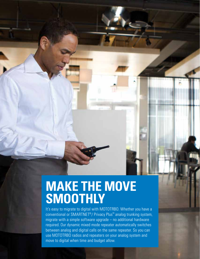# **MAKE THE MOVE SMOOTHLY**

It's easy to migrate to digital with MOTOTRBO. Whether you have a conventional or SMARTNET®/ Privacy Plus™ analog trunking system, migrate with a simple software upgrade – no additional hardware required. Our dynamic mixed mode repeater automatically switches between analog and digital calls on the same repeater. So you can use MOTOTRBO radios and repeaters on your analog system and move to digital when time and budget allow.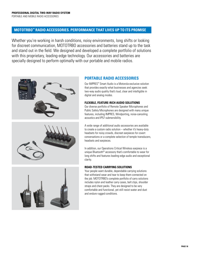# **MOTOTRBO™ RADIO ACCESSORIES. PERFORMANCE THAT LIVES UP TO ITS PROMISE**

Whether you're working in harsh conditions, noisy environments, long shifts or looking for discreet communication, MOTOTRBO accessories and batteries stand up to the task and stand out in the field. We designed and developed a complete portfolio of solutions with this proprietary, leading-edge technology. Our accessories and batteries are specially designed to perform optimally with our portable and mobile radios.



# **PORTABLE RADIO ACCESSORIES**

Our IMPRES™ Smart Audio is a Motorola-exclusive solution that provides exactly what businesses and agencies seek: two-way audio quality that's loud, clear and intelligible in digital and analog modes.

#### **FLEXIBLE, FEATURE-RICH AUDIO SOLUTIONS**

Our diverse portfolio of Remote Speaker Microphones and Public Safety Microphones are designed with many unique features, including IMPRES, Windporting, noise-canceling acoustics and IP57 submersibility.

A wide range of additional audio accessories are available to create a custom radio solution – whether it's heavy-duty headsets for noisy crowds, discreet earpieces for covert conversations or a complete selection of temple transducers, headsets and earpieces.

In addition, our Operations Critical Wireless earpiece is a unique Bluetooth® accessory that's comfortable to wear for long shifts and features leading-edge audio and exceptional clarity.

#### **ROAD-TESTED CARRYING SOLUTIONS**

Your people want durable, dependable carrying solutions that withstand wear and tear to keep them connected on the job. MOTOTRBO's complete portfolio of carry solutions includes nylon and leather carry cases, belt clips, shoulder straps and chest packs. They are designed to be very comfortable and functional, yet still resist water and dust and endure rugged conditions.

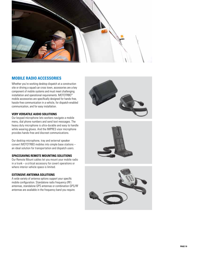

# **MOB ILE RAD IO ACCESSOR IES**

Whether you're working desktop dispatch at a construction site or driving a squad car cross town, accessories are a key component of mobile systems and must meet challenging installation and operational requirements. MOTOTRBO™ mobile accessories are specifically designed for hands-free, hassle-free communication in a vehicle, for dispatch-enabled communication, and for easy installation.

#### **VERY VERSAT ILE AUD IO SOLUT I O N S**

Our keypad microphone lets workers navigate a mobile menu, dial phone numbers and send text messages. The heavy duty microphone is ultra-durable and easy to handle while wearing gloves. And the IMPR ES visor microphone provides hands-free and discreet communications. Our desktop microphone, tray and external speaker

convert M O T OTRB O mobiles into simple base stations – an ideal solution for transportation and dispatch users.

#### SPACESAVING REMOTE MOUNTING SOLUTIONS

Our Remote Mount cables let you mount your mobile radio in a trunk – a critical accessory for covert operations or where interior vehicle space is limited.

#### **EXTENSIVE ANTENNA SOLUTIONS**

A wide variety of antenna options support your specific mobile configuration. Standalone radio frequency (RF) antennas, standalone GPS antennas or combination GPS/RF antennas are available in the frequency band you require.